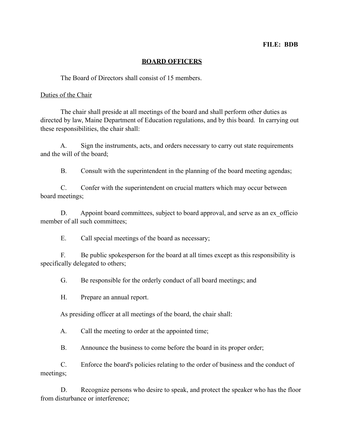### **FILE: BDB**

### **BOARD OFFICERS**

The Board of Directors shall consist of 15 members.

#### Duties of the Chair

 The chair shall preside at all meetings of the board and shall perform other duties as directed by law, Maine Department of Education regulations, and by this board. In carrying out these responsibilities, the chair shall:

 A. Sign the instruments, acts, and orders necessary to carry out state requirements and the will of the board;

B. Consult with the superintendent in the planning of the board meeting agendas;

 C. Confer with the superintendent on crucial matters which may occur between board meetings;

D. Appoint board committees, subject to board approval, and serve as an ex officio member of all such committees;

E. Call special meetings of the board as necessary;

 F. Be public spokesperson for the board at all times except as this responsibility is specifically delegated to others;

G. Be responsible for the orderly conduct of all board meetings; and

H. Prepare an annual report.

As presiding officer at all meetings of the board, the chair shall:

A. Call the meeting to order at the appointed time;

B. Announce the business to come before the board in its proper order;

 C. Enforce the board's policies relating to the order of business and the conduct of meetings;

 D. Recognize persons who desire to speak, and protect the speaker who has the floor from disturbance or interference;